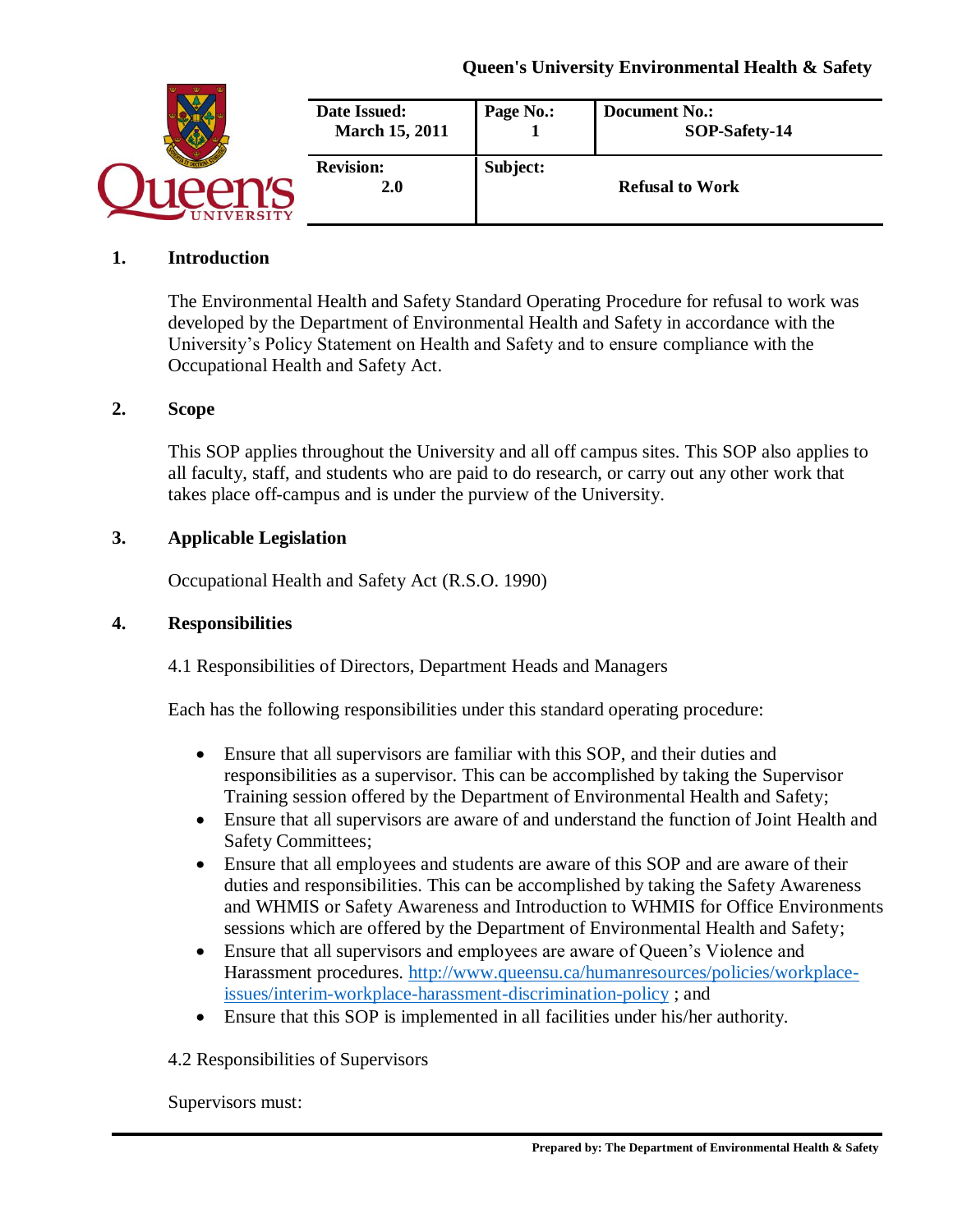| <b>IVERSITY</b> | Date Issued:<br><b>March 15, 2011</b> | Page No.: | <b>Document No.:</b><br>SOP-Safety-14 |
|-----------------|---------------------------------------|-----------|---------------------------------------|
|                 | <b>Revision:</b><br>2.0               | Subject:  | <b>Refusal to Work</b>                |

### **1. Introduction**

The Environmental Health and Safety Standard Operating Procedure for refusal to work was developed by the Department of Environmental Health and Safety in accordance with the University's Policy Statement on Health and Safety and to ensure compliance with the Occupational Health and Safety Act.

### **2. Scope**

This SOP applies throughout the University and all off campus sites. This SOP also applies to all faculty, staff, and students who are paid to do research, or carry out any other work that takes place off-campus and is under the purview of the University.

### **3. Applicable Legislation**

Occupational Health and Safety Act (R.S.O. 1990)

### **4. Responsibilities**

4.1 Responsibilities of Directors, Department Heads and Managers

Each has the following responsibilities under this standard operating procedure:

- Ensure that all supervisors are familiar with this SOP, and their duties and responsibilities as a supervisor. This can be accomplished by taking the Supervisor Training session offered by the Department of Environmental Health and Safety;
- Ensure that all supervisors are aware of and understand the function of Joint Health and Safety Committees;
- Ensure that all employees and students are aware of this SOP and are aware of their duties and responsibilities. This can be accomplished by taking the Safety Awareness and WHMIS or Safety Awareness and Introduction to WHMIS for Office Environments sessions which are offered by the Department of Environmental Health and Safety;
- Ensure that all supervisors and employees are aware of Queen's Violence and Harassment procedures. [http://www.queensu.ca/humanresources/policies/workplace](http://www.queensu.ca/humanresources/policies/workplace-issues/interim-workplace-harassment-discrimination-policy)[issues/interim-workplace-harassment-discrimination-policy](http://www.queensu.ca/humanresources/policies/workplace-issues/interim-workplace-harassment-discrimination-policy) ; and
- Ensure that this SOP is implemented in all facilities under his/her authority.

### 4.2 Responsibilities of Supervisors

Supervisors must: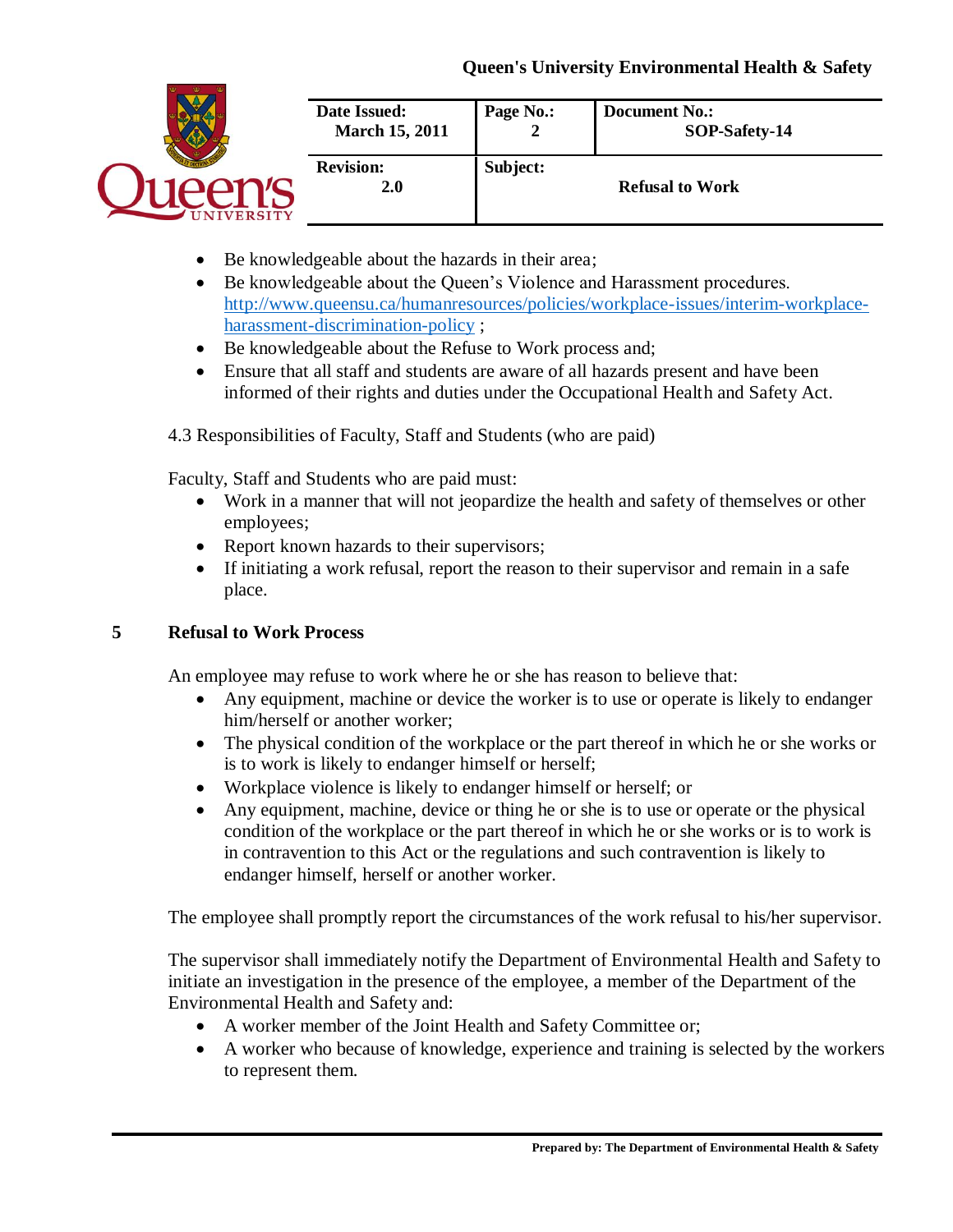

- Be knowledgeable about the hazards in their area;
- Be knowledgeable about the Queen's Violence and Harassment procedures. [http://www.queensu.ca/humanresources/policies/workplace-issues/interim-workplace](http://www.queensu.ca/humanresources/policies/workplace-issues/interim-workplace-harassment-discrimination-policy)[harassment-discrimination-policy](http://www.queensu.ca/humanresources/policies/workplace-issues/interim-workplace-harassment-discrimination-policy) ;
- Be knowledgeable about the Refuse to Work process and;
- Ensure that all staff and students are aware of all hazards present and have been informed of their rights and duties under the Occupational Health and Safety Act.

4.3 Responsibilities of Faculty, Staff and Students (who are paid)

Faculty, Staff and Students who are paid must:

- Work in a manner that will not jeopardize the health and safety of themselves or other employees;
- Report known hazards to their supervisors;
- If initiating a work refusal, report the reason to their supervisor and remain in a safe place.

## **5 Refusal to Work Process**

An employee may refuse to work where he or she has reason to believe that:

- Any equipment, machine or device the worker is to use or operate is likely to endanger him/herself or another worker;
- The physical condition of the workplace or the part thereof in which he or she works or is to work is likely to endanger himself or herself;
- Workplace violence is likely to endanger himself or herself; or
- Any equipment, machine, device or thing he or she is to use or operate or the physical condition of the workplace or the part thereof in which he or she works or is to work is in contravention to this Act or the regulations and such contravention is likely to endanger himself, herself or another worker.

The employee shall promptly report the circumstances of the work refusal to his/her supervisor.

The supervisor shall immediately notify the Department of Environmental Health and Safety to initiate an investigation in the presence of the employee, a member of the Department of the Environmental Health and Safety and:

- A worker member of the Joint Health and Safety Committee or;
- A worker who because of knowledge, experience and training is selected by the workers to represent them.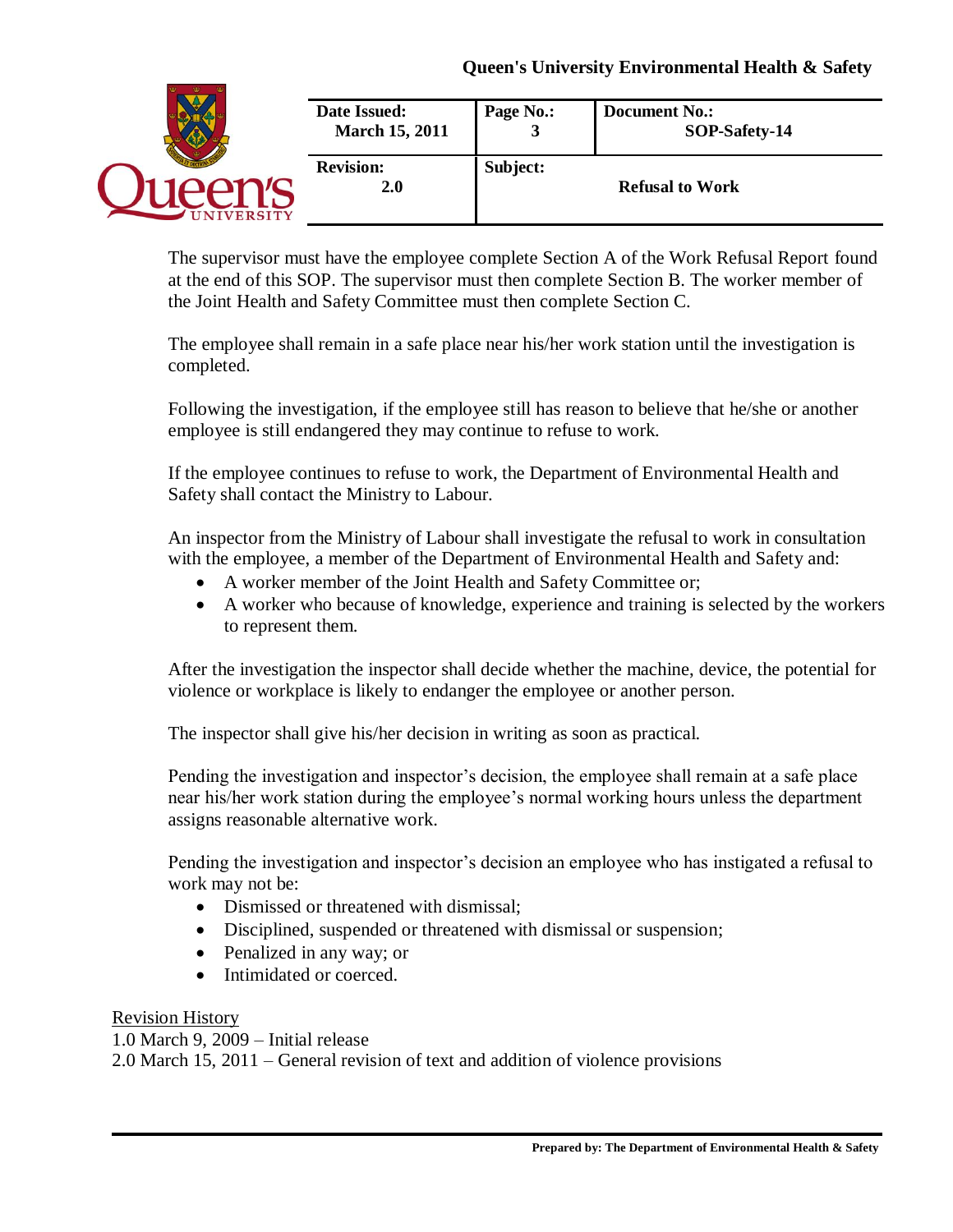| <b>JIVERSITY</b> | Date Issued:<br><b>March 15, 2011</b> | Page No.:<br><b>.</b> | <b>Document No.:</b><br>SOP-Safety-14 |
|------------------|---------------------------------------|-----------------------|---------------------------------------|
|                  | <b>Revision:</b><br><b>2.0</b>        | Subject:              | <b>Refusal to Work</b>                |

The supervisor must have the employee complete Section A of the Work Refusal Report found at the end of this SOP. The supervisor must then complete Section B. The worker member of the Joint Health and Safety Committee must then complete Section C.

The employee shall remain in a safe place near his/her work station until the investigation is completed.

Following the investigation, if the employee still has reason to believe that he/she or another employee is still endangered they may continue to refuse to work.

If the employee continues to refuse to work, the Department of Environmental Health and Safety shall contact the Ministry to Labour.

An inspector from the Ministry of Labour shall investigate the refusal to work in consultation with the employee, a member of the Department of Environmental Health and Safety and:

- A worker member of the Joint Health and Safety Committee or;
- A worker who because of knowledge, experience and training is selected by the workers to represent them.

After the investigation the inspector shall decide whether the machine, device, the potential for violence or workplace is likely to endanger the employee or another person.

The inspector shall give his/her decision in writing as soon as practical.

Pending the investigation and inspector's decision, the employee shall remain at a safe place near his/her work station during the employee's normal working hours unless the department assigns reasonable alternative work.

Pending the investigation and inspector's decision an employee who has instigated a refusal to work may not be:

- Dismissed or threatened with dismissal;
- Disciplined, suspended or threatened with dismissal or suspension;
- Penalized in any way; or
- Intimidated or coerced.

## Revision History

1.0 March 9, 2009 – Initial release 2.0 March 15, 2011 – General revision of text and addition of violence provisions